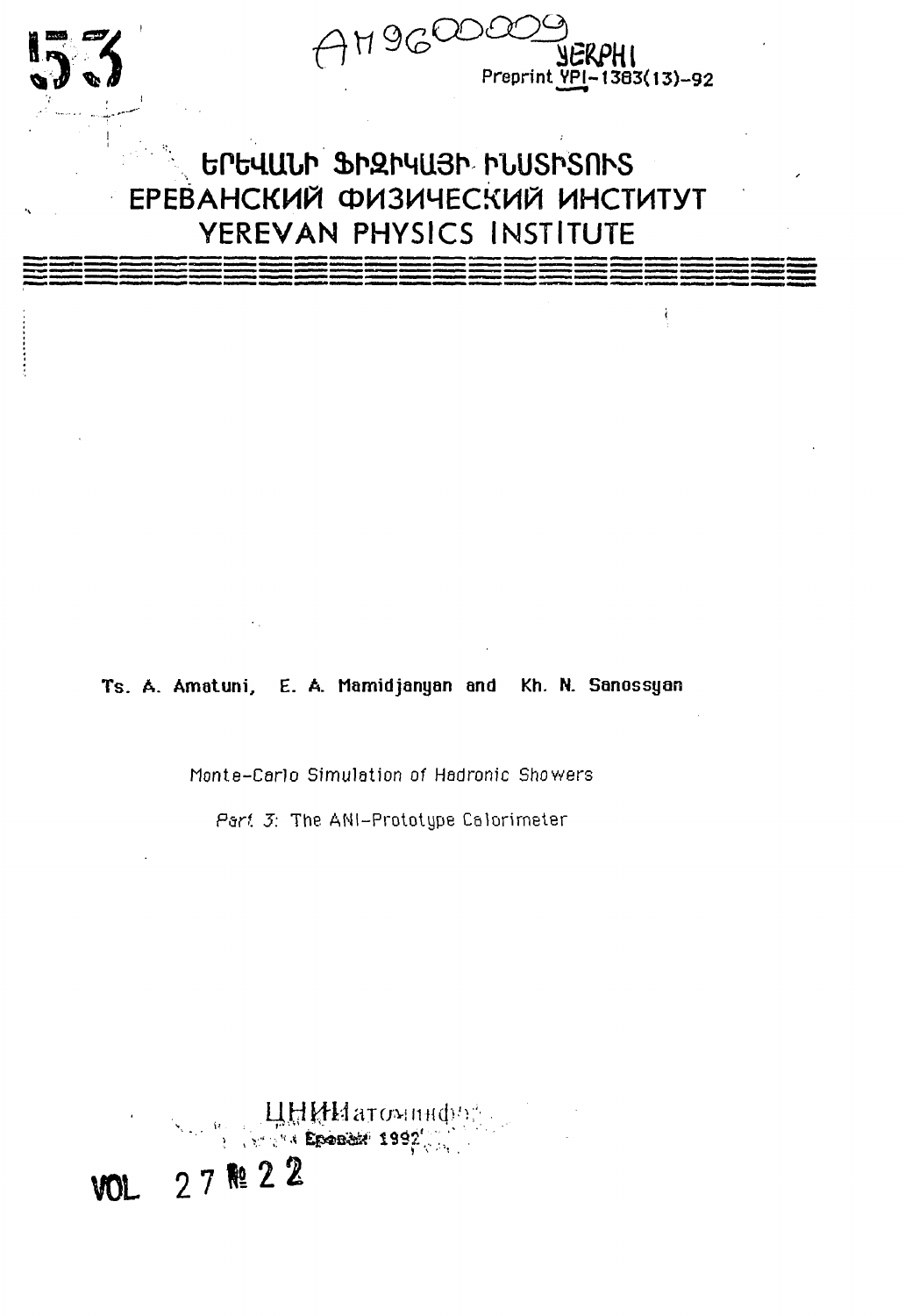

# GPG4UUr SPRP4U3P PUUSPSNPS ЕРЕВАНСКИЙ ФИЗИЧЕСКИЙ ИНСТИТУТ YEREVAN PHYSICS INSTITUTE

Ts. A. Amatuni, E. A. Mamidjanyan and Kh. N. Sanossyan

Monte-Carlo Simulation of Hadronic Showers

Part 3: The ANI-Prototype Calorimeter

**HHIMM** around the **VOL** 27<sup>#</sup> 2<sup>2</sup>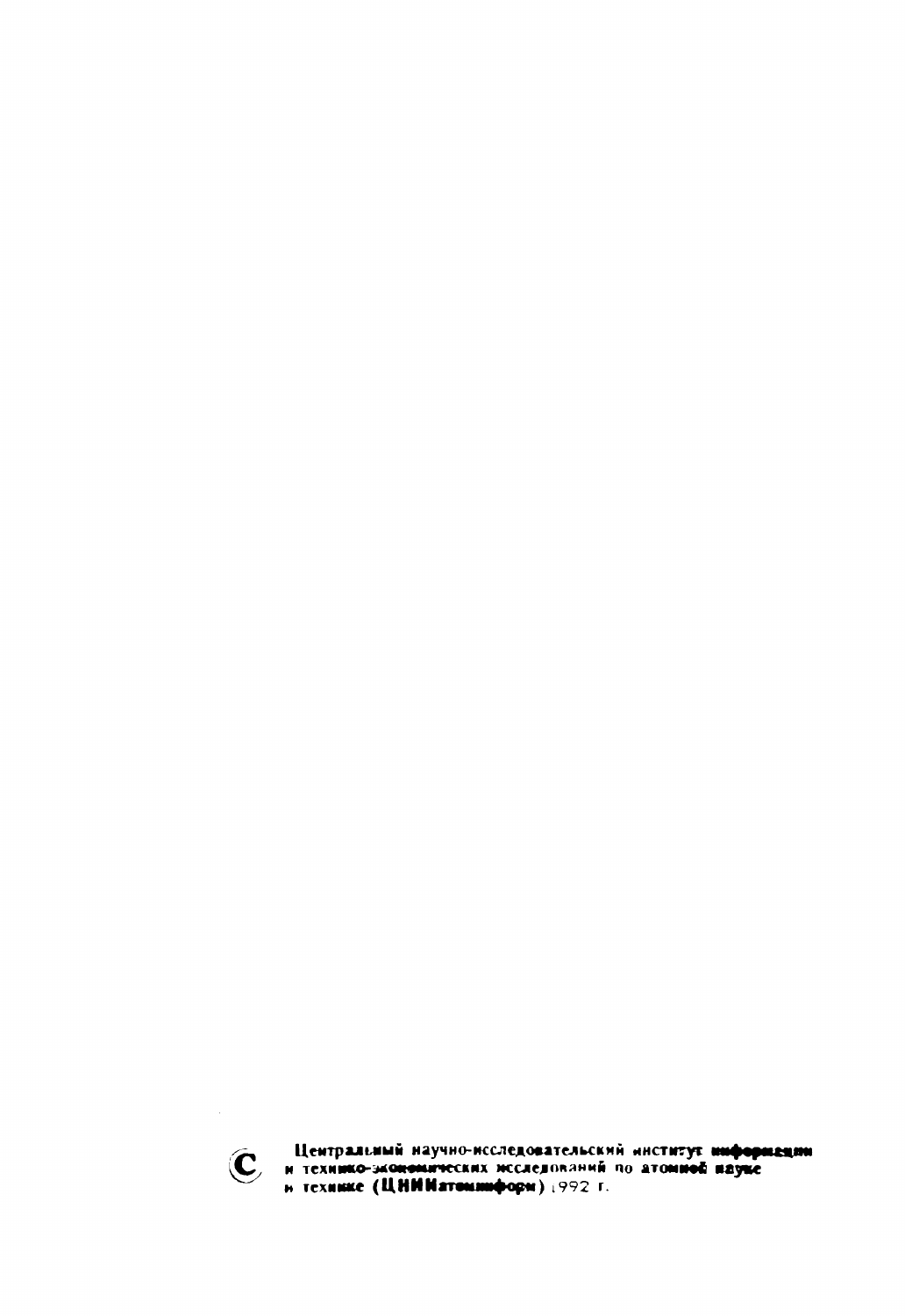

Центральный научно-исследовательский институт информации<br>и технико-экономических исследований по атомной науке<br>и технике (ЦНИИатомниформ) 1992 г.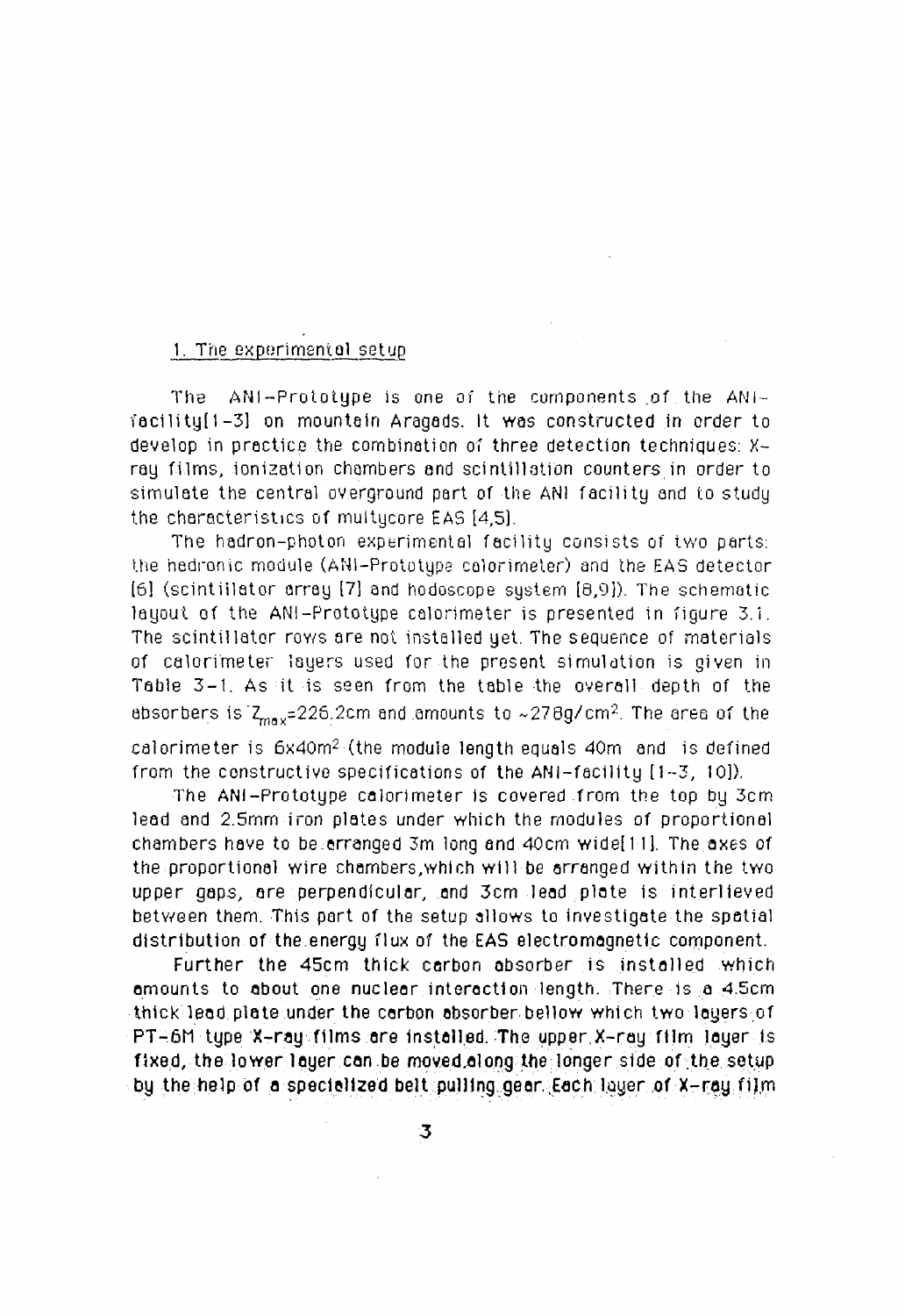# 1. The experimental setup

The ANI-Prototype is one of the components of the ANI $f$ acility $(1-3)$  on mountain Aragads. It was constructed in order to develop in practice the combination of three detection techniques: Xray films, ionization chambers and scintillation counters in order to simulate the central overground part of the AN1 facility and to study the characteristics of muitycore EAS [4,5].

The hadron-photon experimental facility consists of two parts: the hedronic module (ANI-Prototype colorimeter) and the EAS detector [6] (scintillator array [7] and hodoscope system 18,9]). The schematic layout of the ANI-Prototype calorimeter is presented in figure 3.1. The scintillator rows are not installed yet. The sequence of materials of calorimeter layers used for the present simulation is given in Table 3-1 . As it is seen from the table the overall depth of the absorbers is  $Z_{\rm max}$ =226.2cm and amounts to  ${\sim}278$ g/cm<sup>2</sup>. The area of the calorimeter is  $6x40m^2$  (the module length equals  $40m$  -and -is defined from the constructive specifications of the ANI-facility  $\{1-3, 10\}$ .

The ANI-Prototype calorimeter is covered from the top by 3cm lead and 2.5mm iron plates under which the modules of proportional chambers have to be arranged 3m long and 40cm wide $[11]$ . The axes of the proportional wire chambers, which will be arranged within the two upper gaps, are perpendicular, and 3cm lead plate is interlieved between them. This port of the setup allows to investigate the spatial distribution of the energy flux of the EAS electromognetic component.

Further the 45cm thick carbon absorber is installed which **amounts** to **about one nuclear.interaction-length.** There is a 4.5cm thick **lead plate under the carton absorber bellow** which two layers.of PT-6M type **X-ray films are Installed. The upper,X-ray film layer is** fixed, the lower loyer con be moved along the longer side of the setup **by the help of a speclellzed belt pulllng.gearEech layer of X-ray fi),m**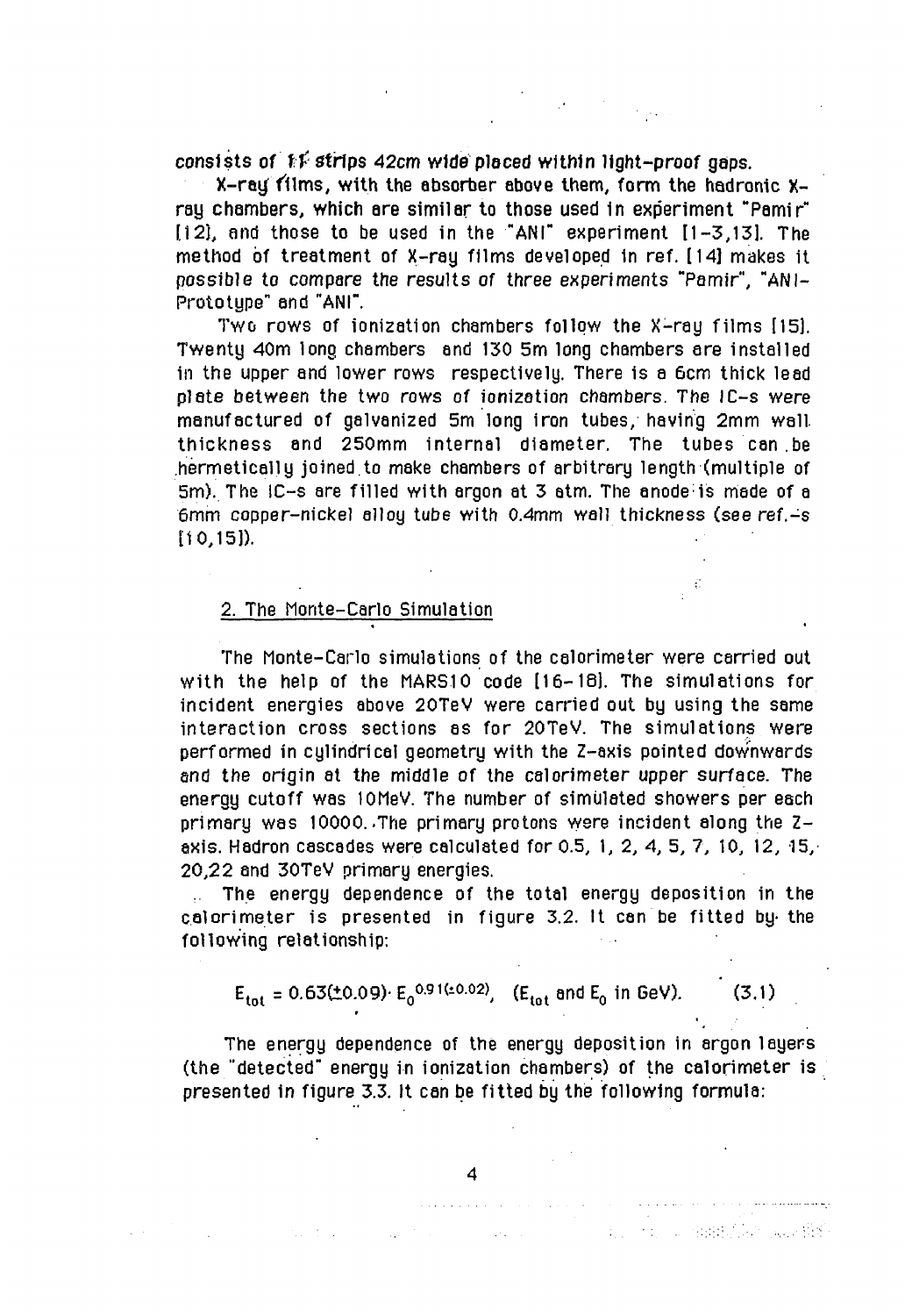consists of  $\mathbb{N}^2$  strips 42cm wide placed within light-proof gaps.

X-ray films, with the absorber above them, form the hadronic  $X$ ray chambers, which are similar to those used in experiment "Pamir"  $[12]$ , and those to be used in the "ANI" experiment  $[1-3,13]$ . The method of treatment of X-ray films developed in ref. 114] makes it possible to compare the results of three experiments "Pamir", "ANI-Prototype" 8nd "ANI".

Two rows of ionization chambers follow the X-ray films [15]. Twenty 40m long chambers and 130 5m long chambers are installed in the upper and lower rows respectively. There is a 6cm thick lead plate between the two rows of ionization chambers. The IC-s were manufactured of galvanized 5m long iron tubes, having 2mm wall, thickness and 250mm internal diameter. The tubes can .be hermetically joined.to make chambers of arbitrary length (multiple of 5m). The IC-s are filled with argon at 3 atm. The anodeis made of a 6mm copper-nickel alloy tube with 0.4mm wall thickness (see ref.-s  $[10, 15]$ ).

#### 2. The Monte-Carlo Simulation

The Monte-Carlo simulations of the calorimeter were carried out with the help of the MARS10 code [16-18]. The simulations for incident energies above 20TeV were carried out by using the same interaction cross sections as for 20TeV. The simulations were performed in cylindrical geometry with the Z-axis pointed downwards and the origin at the middle of the calorimeter upper surface. The energy cutoff was lOMeV. The number of simulated showers per each primary was 10000..The primary protons were incident along the Zexis. Hadron cascades were calculated for 0.5, 1, 2, 4, 5, 7, 10, 12, 15, 20,22 and 30TeV primary energies.

.. The energy dependence of the total energy deposition in the calorimeter is presented in figure 3.2. It can be fitted by-the following relationship:

$$
E_{\text{tot}} = 0.63(\pm 0.09) \cdot E_0^{0.91(\pm 0.02)}, \quad (E_{\text{tot}} \text{ and } E_0 \text{ in } GeV). \tag{3.1}
$$

The energy dependence of the energy deposition in argon layers (the "detected" energy in ionization chambers) of the calorimeter is presented in figure 3.3. It can be fitted by the following formula:

 $\sim 100$  km s  $^{-1}$ 

والمحارب والمتعارض والمتعارف والمتعارض والمتعارف

وإسرائه فستتملخ والمتناد والمادون والمتارين والمتارين والمراد

**一定的 计划 医血管组织的复数 医血管静脉**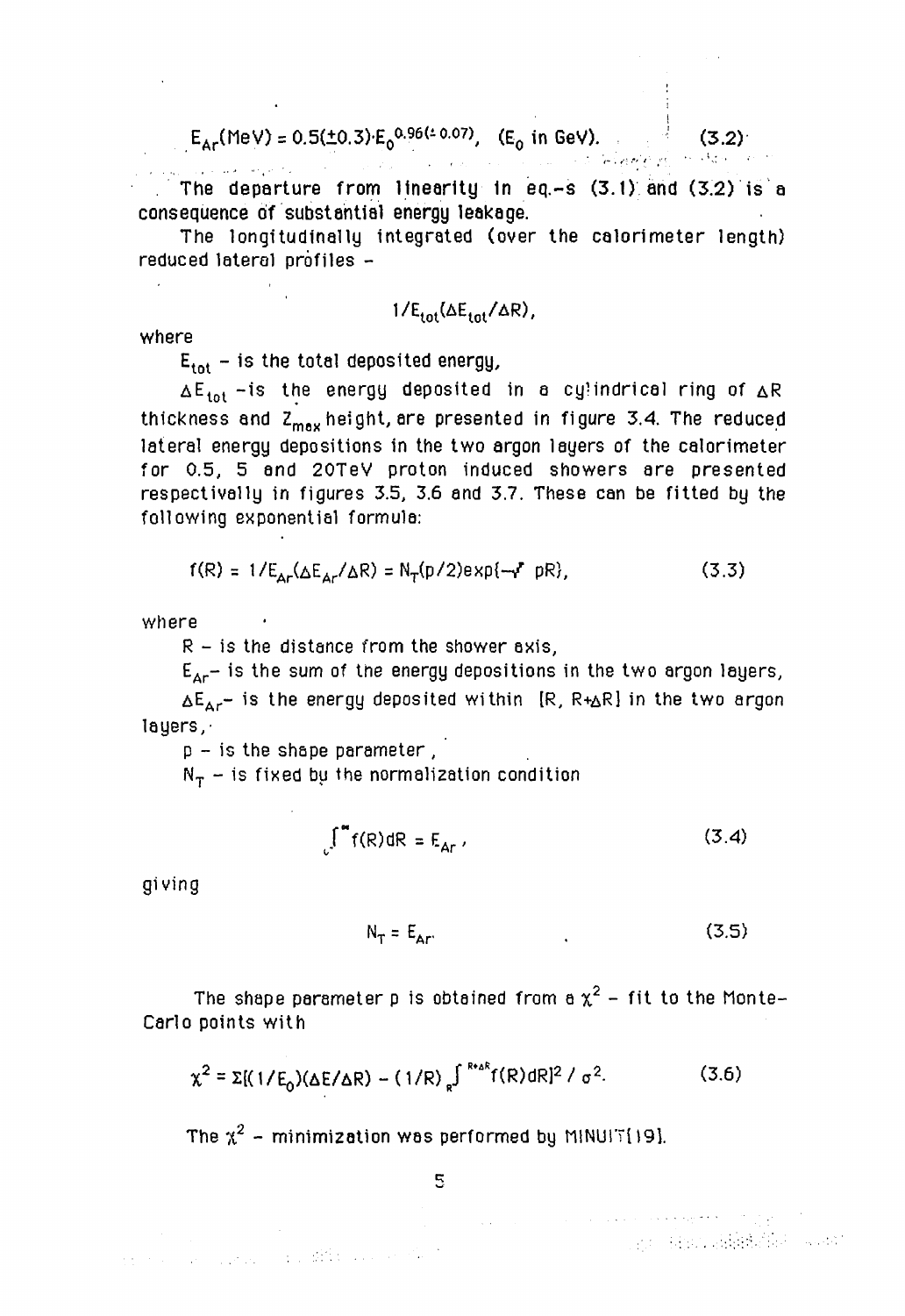$$
E_{Ar}
$$
(MeV) = 0.5(±0.3)· $E_0$ <sup>0.96(±0.07)</sup>, (E<sub>0</sub> in GeV). (3.2)

The departure from linearity in eq.-s (3.1) and (3.2) is a consequence of substantial energy leakage.

The longitudinally integrated (over the calorimeter length)  $reduced$  lateral profiles  $-$ 

$$
1/E_{\text{tot}}(\Delta E_{\text{tot}}/\Delta R)
$$
,

where

 $\boldsymbol{\mathsf{E}}_\text{tot}$  – is the total deposited energy,

 $\Delta$ E $_{\rm tot}$  -is the energy deposited in a cylindrical ring of  $\Delta$ R thickness and Z<sub>mav</sub> height, are presented in figure 3.4. The reduced lateral energy depositions in the two argon layers of the calorimeter for 0.5, 5 and 20TeV proton induced showers are presented respectivally in figures 3.5, 3.6 and 3.7. These can be fitted by the following exponential formula:

$$
f(R) = 1/E_{Ar}(\Delta E_{Ar}/\Delta R) = N_T(p/2)exp\{-r^r pR\},
$$
 (3.3)

where

 $R - i s$  the distance from the shower axis,

 $E_{Ar}$ - is the sum of the energy depositions in the two argon layers,

ΔE<sub>Ar</sub>– is the energy deposited within [R, R+∆R] in the two argon layers,'

 $p - is$  the shape parameter,

and the components of a difference of the t

N $_\mathrm{T}$  - is fixed by the normalization condition

$$
\int_{0}^{\infty} f(R) dR = E_{Ar} \tag{3.4}
$$

giving

$$
N_T = E_{Ar} \tag{3.5}
$$

 $\label{eq:2} \mathcal{L}(\mathbf{X},\mathbf{X}) = \mathcal{L}(\mathbf{X},\mathbf{X}) = \mathcal{L}(\mathbf{X},\mathbf{X})$ 

**Carlo Harristo (1986)** 

The shape parameter p is obtained from a  $\chi^2$  – fit to the Monte $\cdot$ Carlo points with

$$
\chi^2 = \Sigma[(1/E_0)(\Delta E/\Delta R) - (1/R)\int_R^{R\alpha R} f(R) dR]^2 / \sigma^2.
$$
 (3.6)

 $\sim 10^{11}$  km s  $^{-1}$ 

The  $\chi^2$  - minimization was performed by MINUIT(19).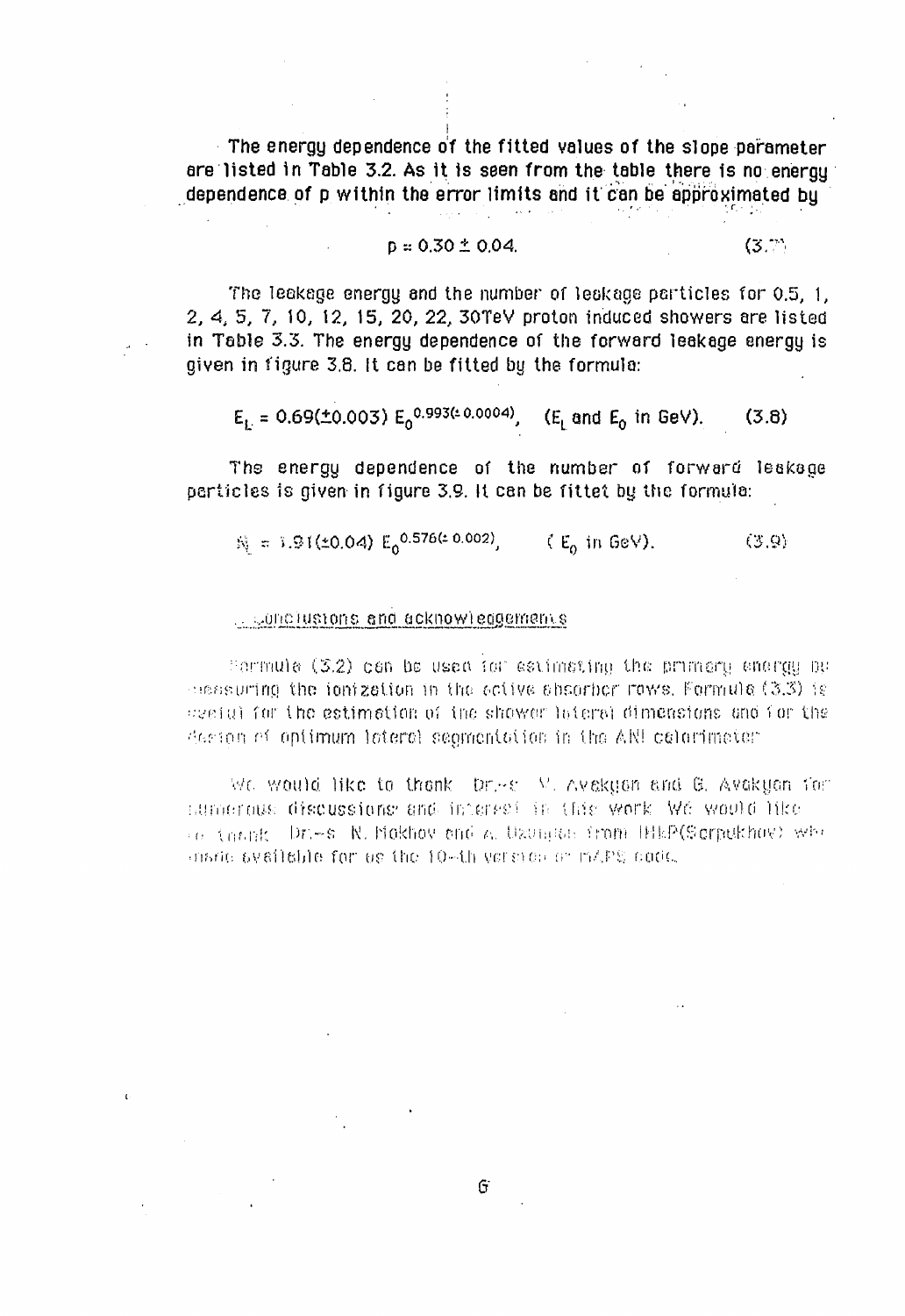The energy dependence of the fitted values of the slope parameter are listed in Table 3.2. As it is seen from the table there is no energy dependence of p within the error limits and it can be approximated bu

$$
p = 0.30 \pm 0.04. \tag{3.7}
$$

The leakage energy and the number of leakage particles for 0.5, 1, 2, 4, 5, 7, 10, 12, 15, 20, 22, 30TeV proton induced showers are listed in Table 3.3. The energy dependence of the forward leakage energy is given in figure 3.8. It can be fitted by the formula:

 $E_i = 0.69(\pm 0.003) E_0^{0.993(\pm 0.0004)}$ , (E<sub>t</sub> and E<sub>0</sub> in GeV).  $(3.8)$ 

The energy dependence of the number of forward leakage perticles is given in figure 3.9. It can be fittet by the formula:

 $\hat{N} = 1.91(\pm 0.04) E_0^{0.576(\pm 0.002)}$ , (E<sub>0</sub> in GeV).  $(3, 9)$ 

#### .. Conclusions and acknowledgements

Formula  $(3.2)$  can be used for estimating the primery energy by  $\alpha$ essuring the ionization in the solive obserber rows. Formula (3.3) is weeful for the estimation of the shower loters) dimensions and for the desion of optimum lateral scomentation in the ANI celerimater

We would like to thonk bree M. Avekyon and G. Avekyon for sumerous discussions and intervel in this work. We would like on thank Dr.-s R. Mokhov and a Uzunday from HEP(Scrpekhov) who institutely aftable for up the 10-th version of mark code.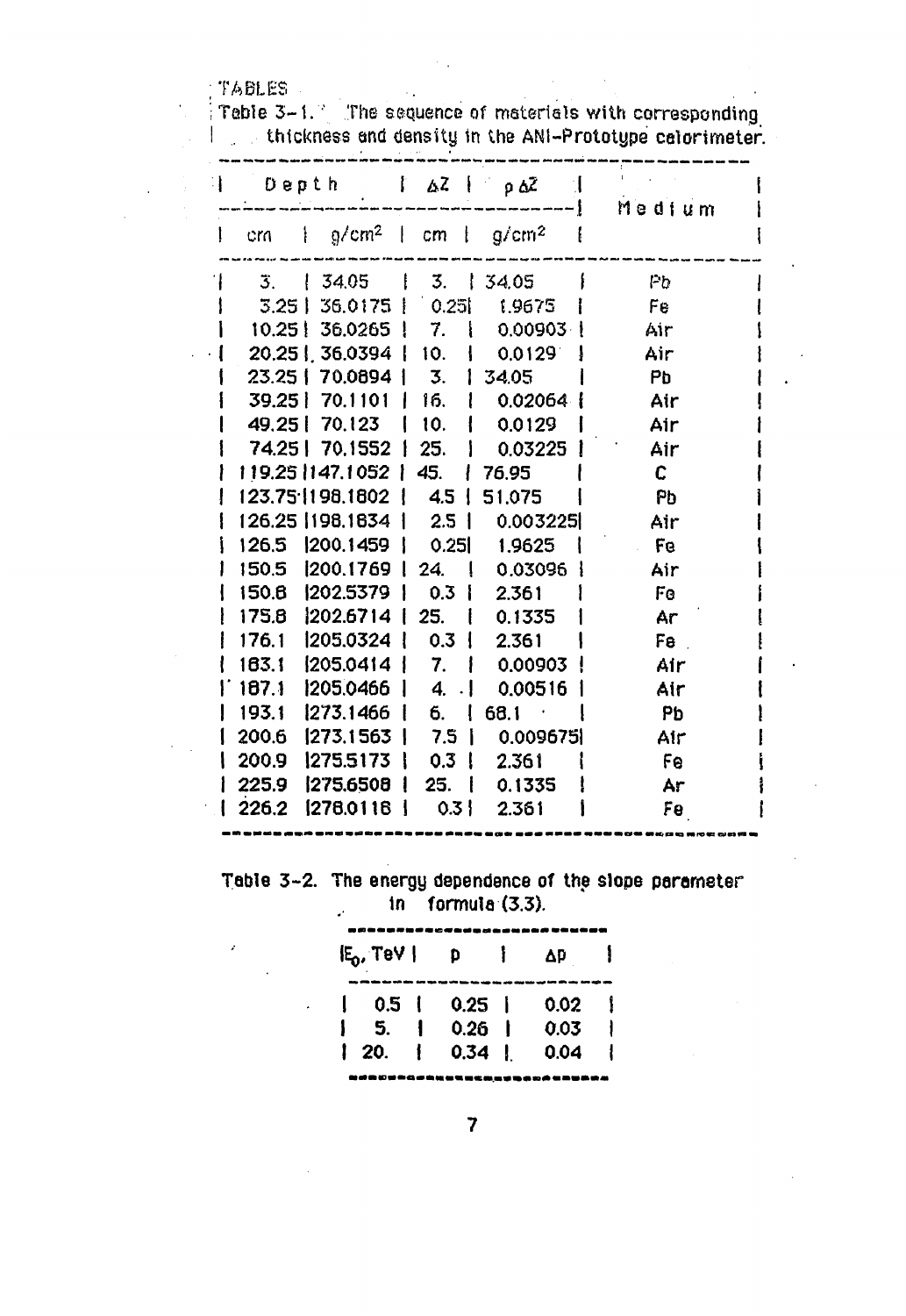TABLES

Table 3-1. The sequence of materials with corresponding<br>| thickness and density in the ANI-Prototype calorimeter.

| Depth                                            | $\frac{1}{2}$ $\Delta Z$ |   | $\rho \Delta \bar{z}$ | Medium |
|--------------------------------------------------|--------------------------|---|-----------------------|--------|
| $g/cm^2$   cm   $g/cm^2$<br>$\mathcal{F}$<br>cra |                          |   |                       |        |
| 34.05<br>3.                                      | -3.                      | ł | 34.05                 | Рb     |
| 36.0175  <br>3.251                               | 0.251                    |   | 1.9675                | Fe     |
| 36.0265<br>10.251                                | 7.                       |   | 0.00903               | Air    |
| 20.25 36.0394                                    | 10.                      |   | 0.0129                | Air    |
| 70.0894<br>23.25 I                               | 3.                       |   | 34.05                 | Pb     |
| 39.25  <br>70.1101                               | 16.                      |   | 0.02064               | Air    |
| 49.25  <br>70.123                                | 10.                      |   | 0.0129                | Air    |
| 70.1552<br>74.25                                 | 25.                      |   | 0.03225               | Air    |
| 119.25 1147.1052                                 | 45.                      |   | 76.95                 | C.     |
| 123.75 198.1802                                  | 4.5                      |   | 51.075                | Pb     |
| 126.25 1198.1834                                 | 2.5                      |   | 0.003225              | Air    |
| 1200.1459<br>126.5                               | 0.251                    |   | 1.9625                | Fe     |
| 150.5<br>1200.1769                               | 24.                      |   | 0.03096               | Air    |
| 150.8<br>1202.5379                               | 0.3 <sup>1</sup>         |   | 2.361                 | Fe     |
| 175.8<br>1202.6714                               | 25.                      |   | 0.1335                | Ar     |
| 1205.0324<br>176.1                               | 0.3                      |   | 2.361                 | Fe     |
| 183.1<br>1205.0414                               | 7.                       |   | 0.00903               | Air    |
| 187.1<br>1205.0466                               | 4.                       |   | 0.00516               | Air    |
| 1273.1466<br>193.1                               | б.                       |   | 68.1                  | Pb     |
| 200.6<br>1273.1563                               | 7.5                      |   | 0.009675              | Air    |
| 200.9<br>1275.5173                               | 0.3                      |   | 2.361                 | Fe     |
| 225.9<br>1275.6508                               | 25.                      |   | 0.1335                | Ar     |
| 226.2<br>1278.0118                               | 0.3                      |   | 2.361                 | Fe     |
|                                                  |                          |   |                       |        |

|  | Table 3-2. The energy dependence of the slope parameter |  |  |
|--|---------------------------------------------------------|--|--|
|  | in formula $(3.3)$ .                                    |  |  |

| $E_0$ , TeV |    | .<br>m<br>D  | -1 | ΔP   |  |  |
|-------------|----|--------------|----|------|--|--|
| 0.5         |    | $0.25 \quad$ |    | 0.02 |  |  |
| 5.          |    | $0.26$       |    | 0.03 |  |  |
| 20.         |    | $0.34$       |    | 0.04 |  |  |
|             | в. |              |    |      |  |  |

 $\overline{\mathbf{7}}$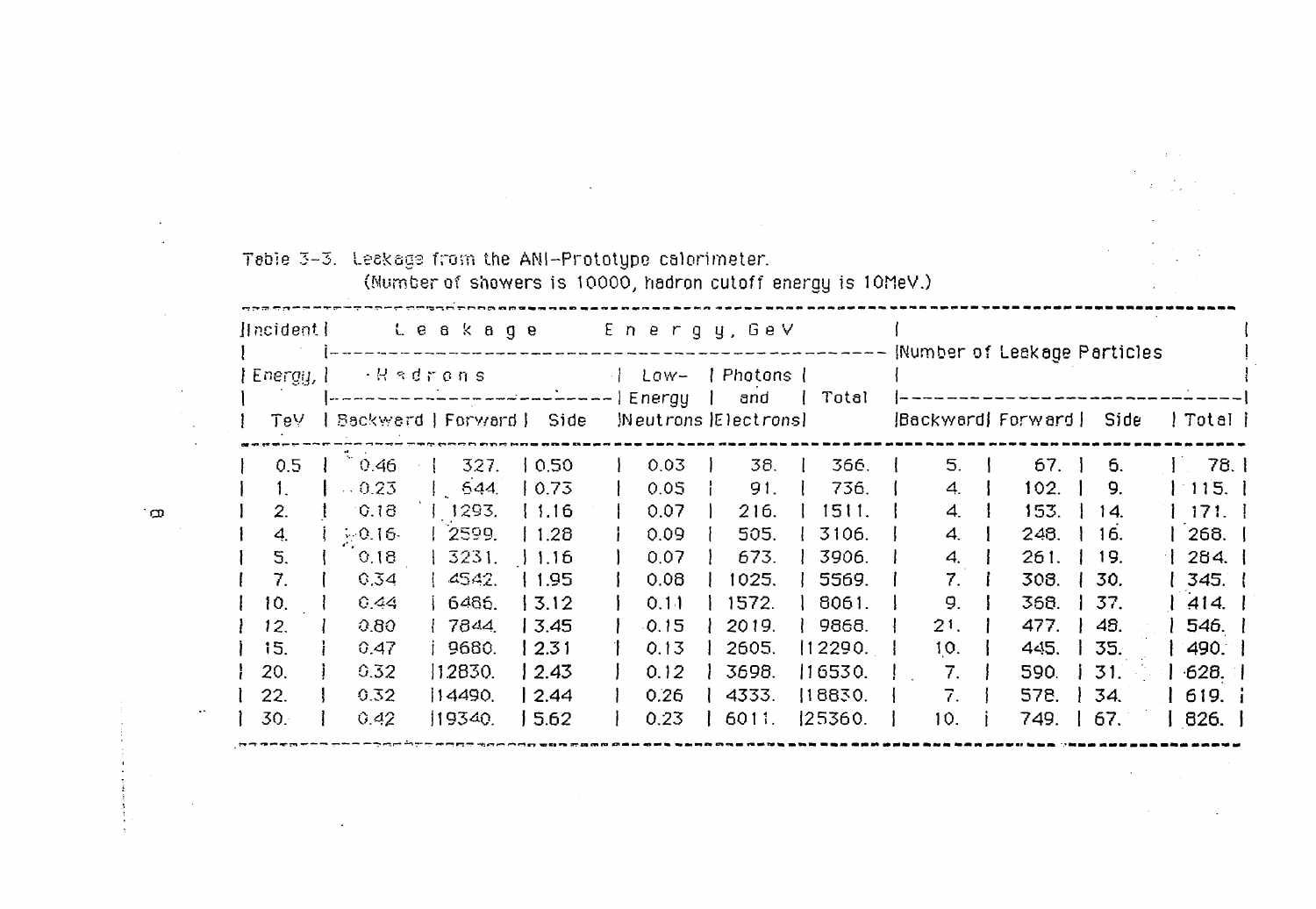| [Incident]       |                | Leskage Energy, GeV         |                            |  |      |  |                             |  |         |     | Mumber of Leakage Particles |     |           |
|------------------|----------------|-----------------------------|----------------------------|--|------|--|-----------------------------|--|---------|-----|-----------------------------|-----|-----------|
| Energy, 1        |                | $\rightarrow$ R adrons      |                            |  |      |  | Low-   Photons              |  |         |     |                             |     |           |
| TeV              |                | Backward   Forward     Side | $------------ \mid Energy$ |  |      |  | and<br>Meutrons (Electrons) |  | Total   |     | Backward Forward Side       |     | ! Total I |
| 0.5              | 0.46           | 327.                        | 0.50                       |  | 0.03 |  | 38.                         |  | 366.    | 5.  | 67.                         | 6.  | 78.1      |
| $\mathbf{1}$ .   | 0.23           | $\frac{644}{64}$            | 0.73                       |  | 0.05 |  | 91.                         |  | 736.    | 4.  | 102.                        | 9.  | 115.1     |
| 2.               | 6.18           | 1293.                       | [1.16]                     |  | 0.07 |  | 216.                        |  | 1511.   | 4.  | 153.                        | 14. | 171.      |
| $\overline{4}$ . | $\approx 0.16$ | 2599.                       | 1.28                       |  | 0.09 |  | 505.                        |  | 3106.   | 4.  | 248.                        | 16. | 268.      |
| 5.               | 0.18           | 3231.                       | 11.16                      |  | 0.07 |  | 673.                        |  | 3906.   | 4.  | 261.                        | 19. | 264.      |
| 7.               | 0,34           | -4542.                      | 1.95                       |  | 0.08 |  | 1025.                       |  | 5569.   | 7.  | 308.                        | 30. | 345.      |
| 10.              | 0.44           | 6486.                       | 13.12                      |  | 0.11 |  | 1572.                       |  | 8061.   | 9.  | 368.                        | 37. | 414.      |
| 12.              | 0.80           | 17844.                      | 13.45                      |  | 0.15 |  | 2019.                       |  | 9868.   | 21. | 477.                        | 48. | 546.      |
| 15.              | 0.47           | 9680.                       | 12.31                      |  | 0.13 |  | 2605.                       |  | 12290.  | 10. | 445.                        | 35. | 490.      |
| 20.              | 0.32           | 12830.                      | 2.43                       |  | 0.12 |  | 3698.                       |  | 16530.  | 7.  | 590.                        | 31. | 628.      |
| 22.              | 0.32           | 14490.                      | 2.44                       |  | 0.26 |  | 4333.                       |  | 18830.  | 7.  | 578.                        | 34. | 619. i    |
| 30.              | 0.42           | 119340.                     | 5.62                       |  | 0.23 |  | 6011.                       |  | 125360. | 10. | 749.                        | 67. | 826.      |

 $\mathcal{A}^{\mathrm{c}}$  ,  $\mathcal{A}^{\mathrm{c}}$  ,  $\mathcal{A}^{\mathrm{c}}$  $\label{eq:2} \frac{1}{\sqrt{2}}\sum_{i=1}^N\frac{1}{\sqrt{2}}\sum_{i=1}^N\frac{1}{\sqrt{2}}\sum_{i=1}^N\frac{1}{\sqrt{2}}\sum_{i=1}^N\frac{1}{\sqrt{2}}\sum_{i=1}^N\frac{1}{\sqrt{2}}\sum_{i=1}^N\frac{1}{\sqrt{2}}\sum_{i=1}^N\frac{1}{\sqrt{2}}\sum_{i=1}^N\frac{1}{\sqrt{2}}\sum_{i=1}^N\frac{1}{\sqrt{2}}\sum_{i=1}^N\frac{1}{\sqrt{2}}\sum_{i=1}^N\frac{1$ 

 $\label{eq:2.1} \frac{1}{\sqrt{2}}\int_{\mathbb{R}^3}\frac{1}{\sqrt{2}}\left(\frac{1}{\sqrt{2}}\right)^2\left(\frac{1}{\sqrt{2}}\right)^2\left(\frac{1}{\sqrt{2}}\right)^2\left(\frac{1}{\sqrt{2}}\right)^2\left(\frac{1}{\sqrt{2}}\right)^2\left(\frac{1}{\sqrt{2}}\right)^2.$ 

 $\label{eq:2.1} \mathcal{L}(\mathcal{L}^{\text{max}}_{\mathcal{L}}(\mathcal{L}^{\text{max}}_{\mathcal{L}}(\mathcal{L}^{\text{max}}_{\mathcal{L}}(\mathcal{L}^{\text{max}}_{\mathcal{L}^{\text{max}}_{\mathcal{L}}(\mathcal{L}^{\text{max}}_{\mathcal{L}^{\text{max}}_{\mathcal{L}^{\text{max}}_{\mathcal{L}^{\text{max}}_{\mathcal{L}^{\text{max}}_{\mathcal{L}^{\text{max}}_{\mathcal{L}^{\text{max}}_{\mathcal{L}^{\text{max}}_{\mathcal{L}^{\text{max}}$ 

 $\cdot\varpi$ 

 $\label{eq:2.1} \begin{array}{ll} \mathcal{L}_{\text{max}} & \mathcal{L}_{\text{max}} \\ \mathcal{L}_{\text{max}} & \mathcal{L}_{\text{max}} \\ \mathcal{L}_{\text{max}} & \mathcal{L}_{\text{max}} \\ \mathcal{L}_{\text{max}} & \mathcal{L}_{\text{max}} \\ \mathcal{L}_{\text{max}} & \mathcal{L}_{\text{max}} \\ \mathcal{L}_{\text{max}} & \mathcal{L}_{\text{max}} \\ \mathcal{L}_{\text{max}} & \mathcal{L}_{\text{max}} \\ \mathcal{L}_{\text{max}} & \mathcal{L}_{\text{max}} \\ \mathcal{L}_{\text{max}} &$ 

 $\mathcal{L}^{\text{max}}_{\text{max}}$  ,  $\mathcal{L}^{\text{max}}_{\text{max}}$ 

 $\sim$ 

 $\mathcal{L}^{\text{max}}_{\text{max}}$  and  $\mathcal{L}^{\text{max}}_{\text{max}}$ 

 $\sim$  $\mathcal{L}^{\mathcal{L}}$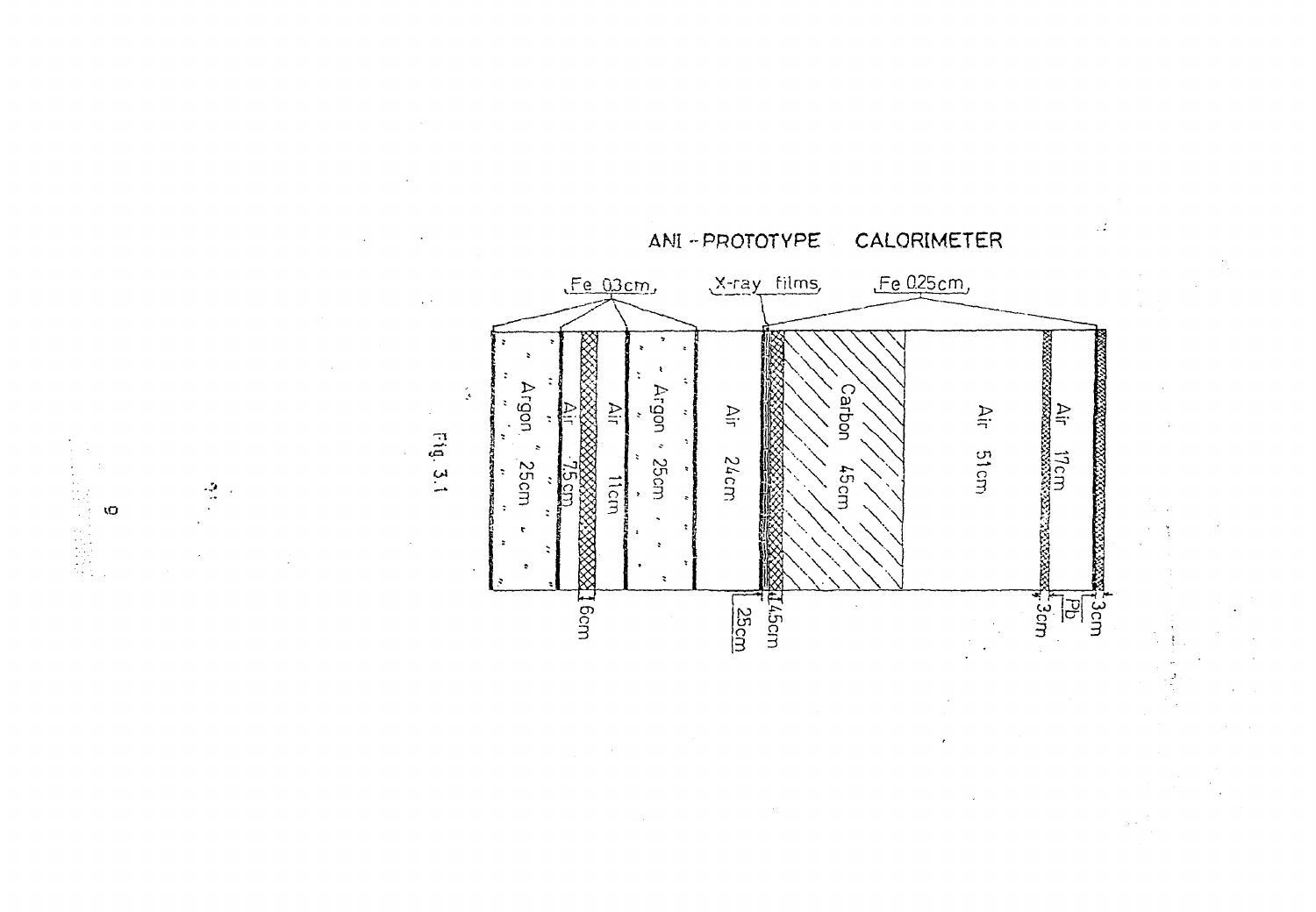

CALORIMETER

 $\mathbb{R}^2$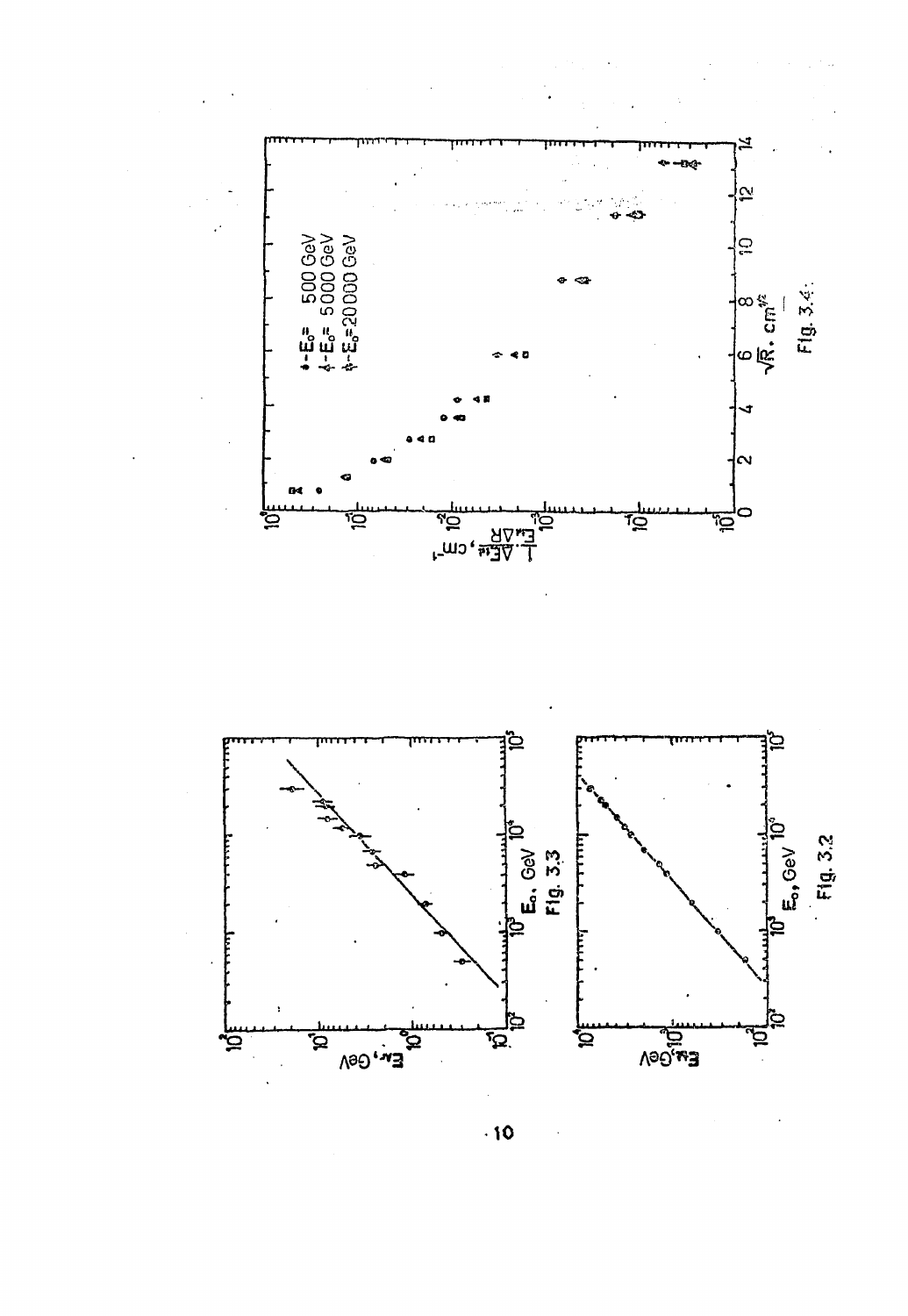



 $\cdot$  10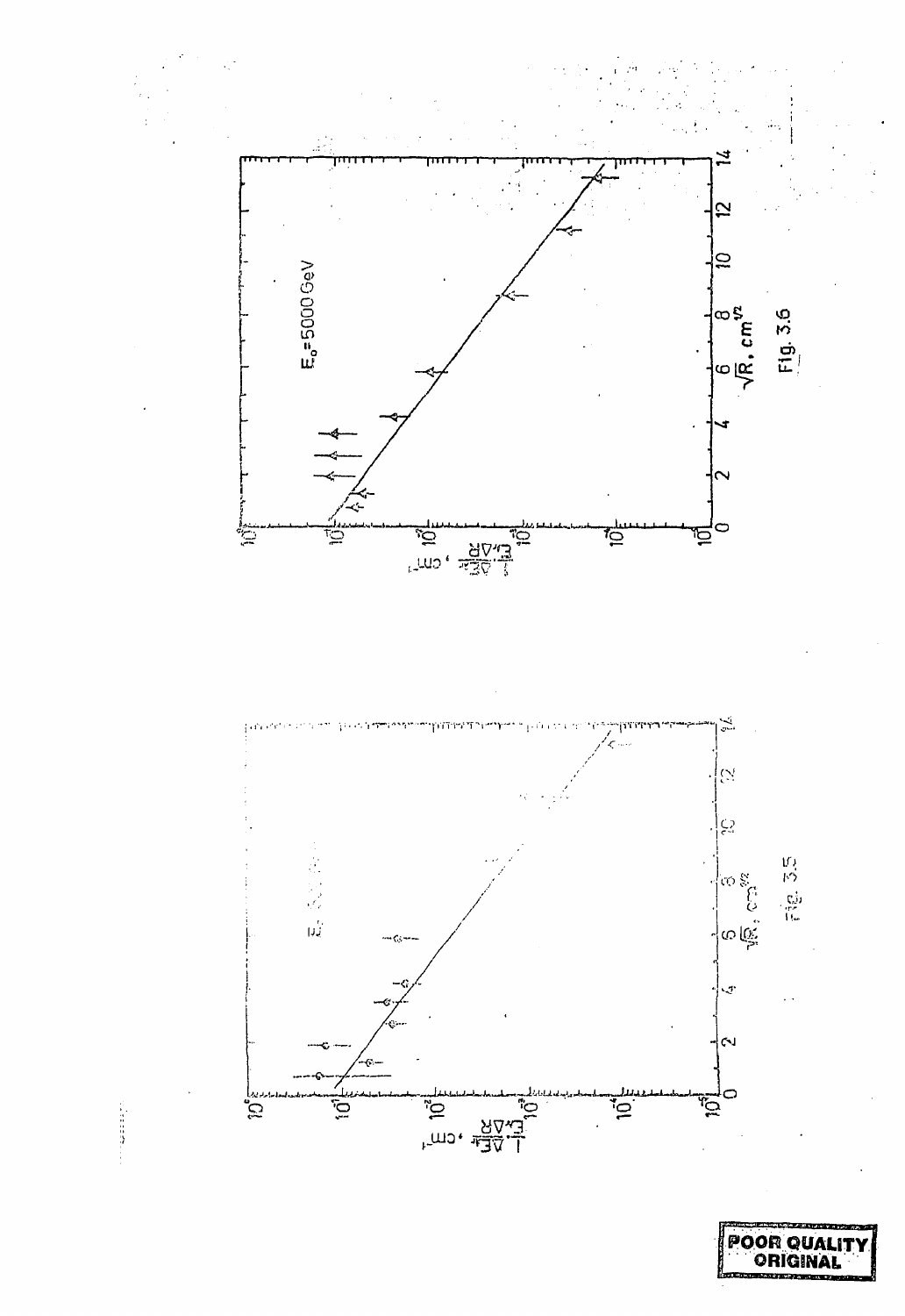





**Thermal**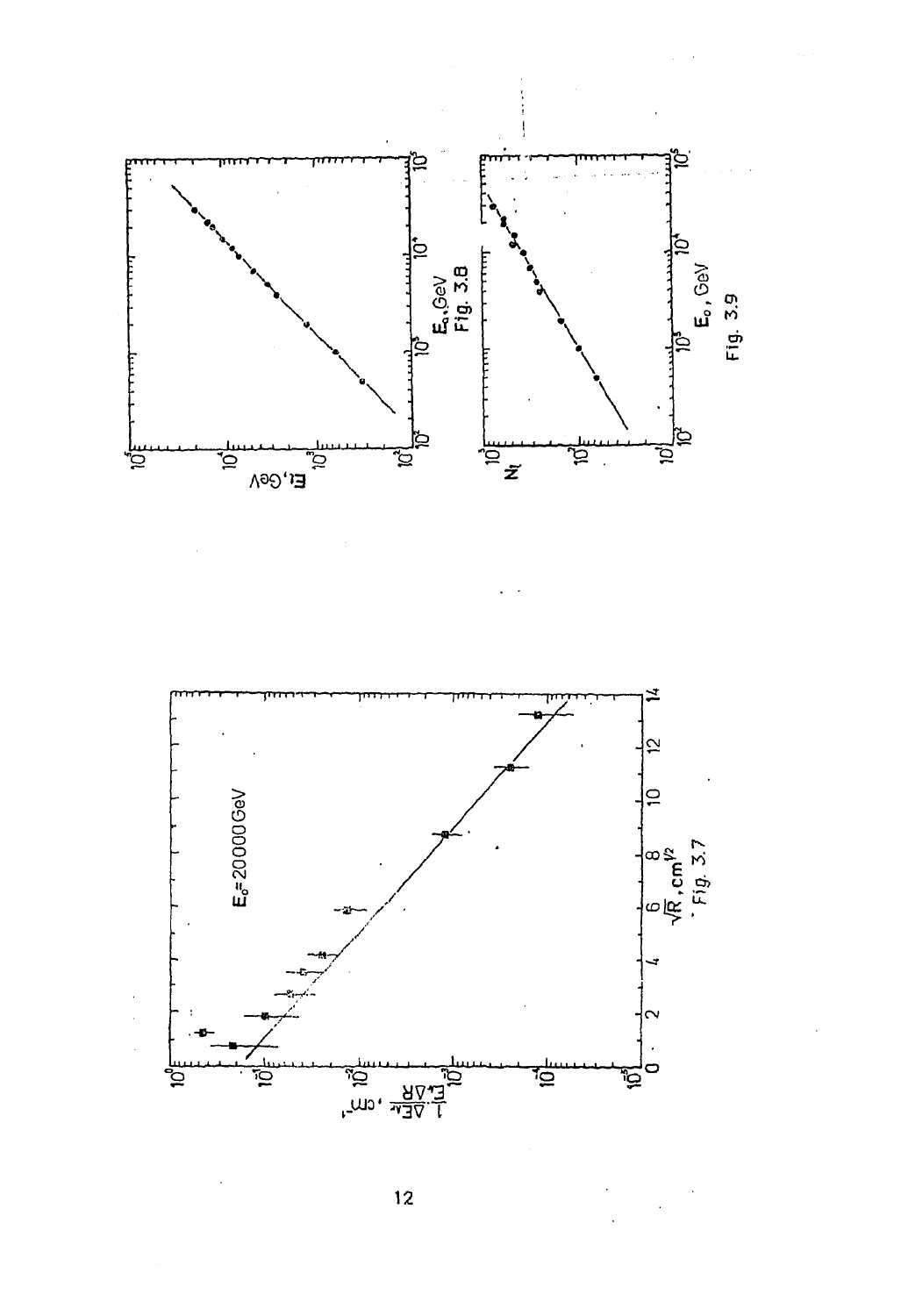



 $\overline{12}$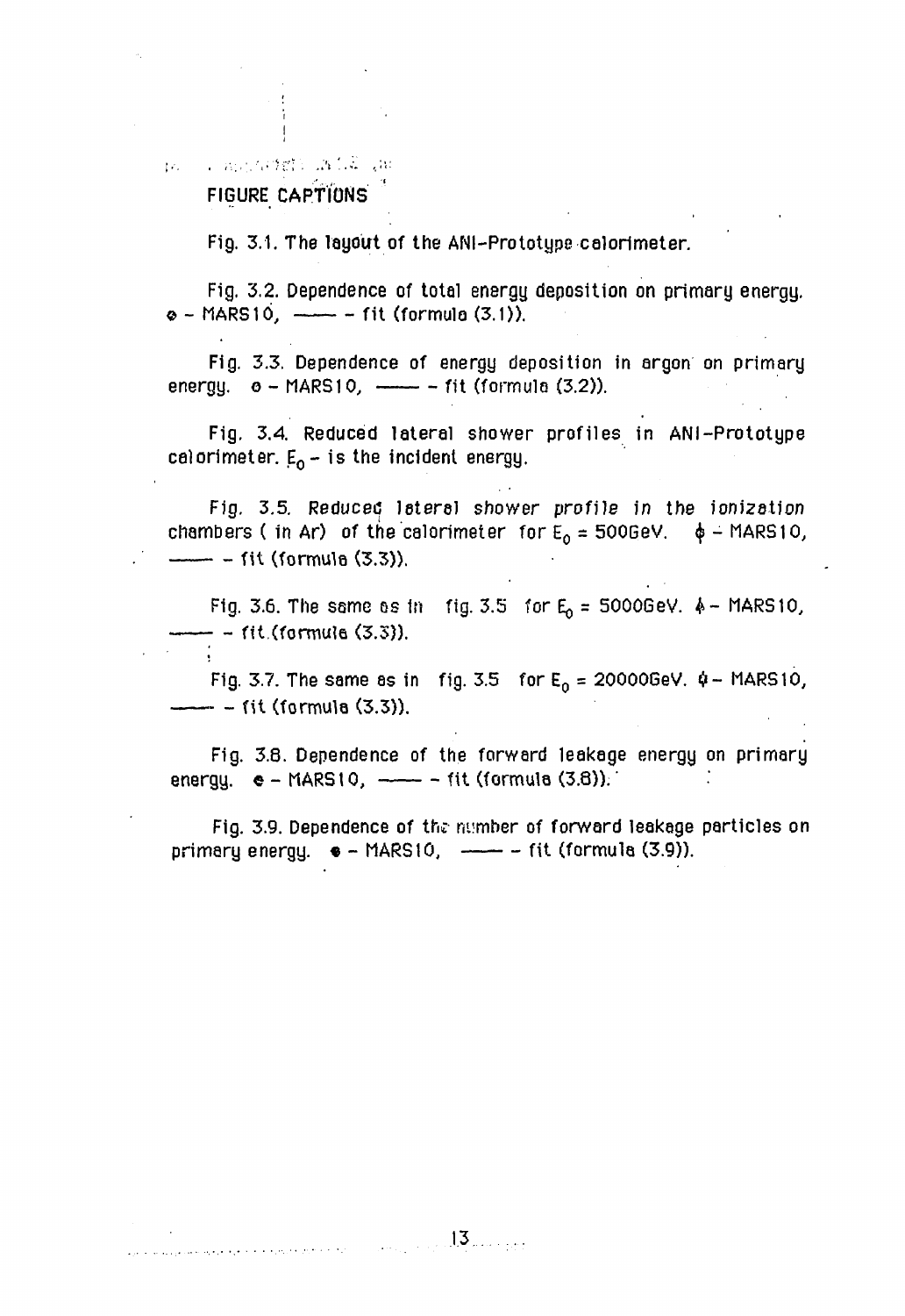# po a mondado intelam FIGURE CAPTIONS

Fig. 3.1. The layout of the ANI-Prototype calorimeter.

Fig. 3.2. Dependence of total energy deposition on primary energy.  $\infty$  – MARS 10,  $\longrightarrow$  – fit (formula (3.1)).

Fig. 3.3. Dependence of energy deposition in argon on primary energy.  $\theta$  - MARS 10,  $\longrightarrow$  - fit (formula (3.2)).

Fig. 3.4. Reduced lateral shower profiles in ANI-Prototype calorimeter. E<sub>o</sub> – is the incident energy.

Fig. 3.5. Reducec laterel shower profile in the ionizstion chambers ( in Ar) of the calorimeter for E<sub>o</sub> = 500GeV.  $\phi$  - MARS10, — — fit (formula (3.3)).

Fig. 3.6. The same as in fig. 3.5 for  $E_0 = 5000$ GeV.  $A - \text{MARS}$  10, fit.(formula (3.5)).

Fig. 3.7. The same as in  $\,$  fig. 3.5  $\,$  for E $_{\rm 0}$  = 20000GeV.  $\,$ 4 – MARS10,  $\,$  $-\frac{1}{10}$  - fit (formula (3.3)).

Fig. 3.8. Dependence of the forward leakage energy on primary energy,  $e - \text{MARS}10$ ,  $-\cdots - \text{fit}$  (formula (3.8)).

Fig. 3.9. Dependence of the number of forward leakage particles on primary energy.  $\bullet$  - MARS10,  $\leftarrow$  - fit (formula (3.9)).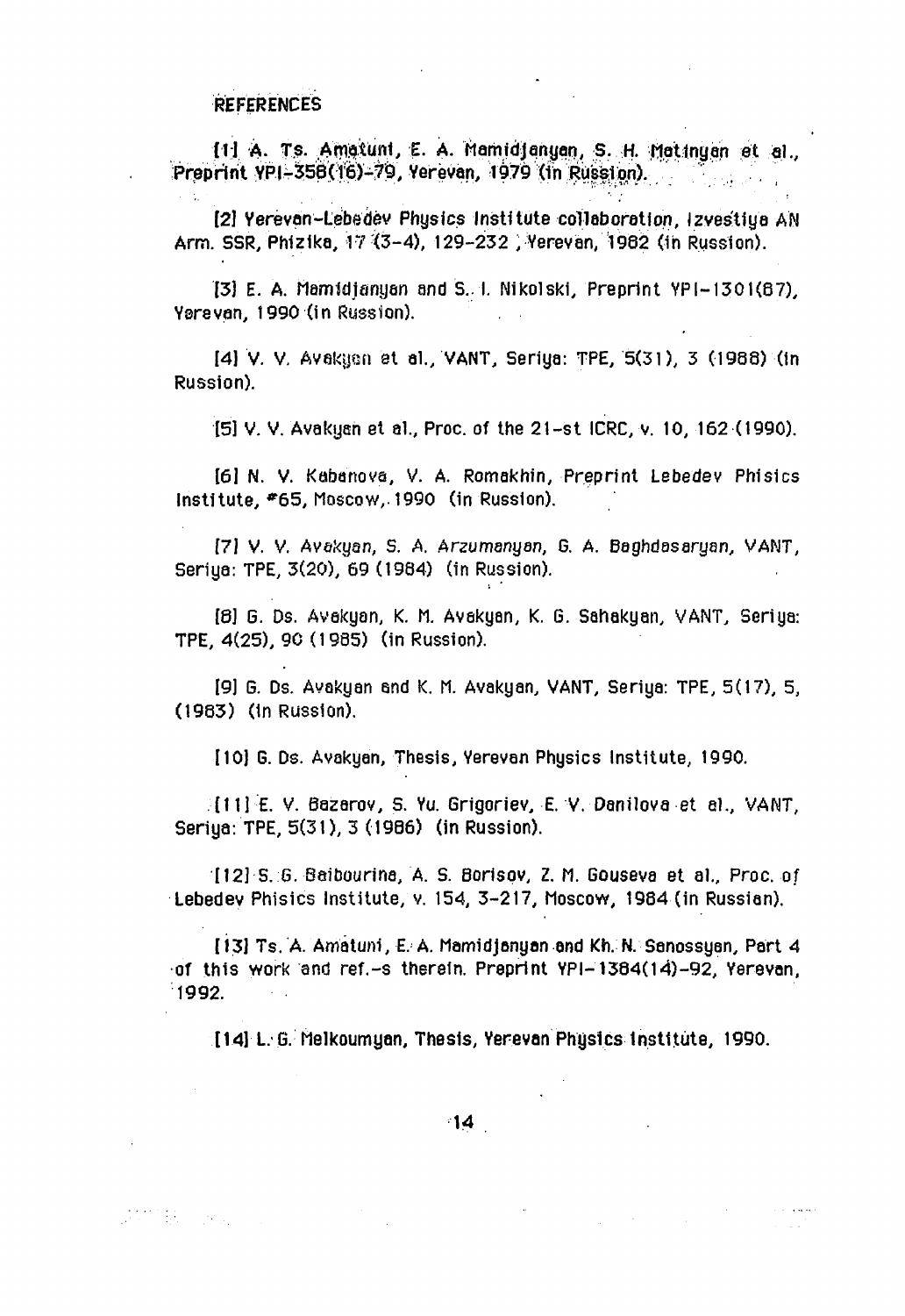(1) A. Ts. Amglunt, E. A. Mamidjanyan, S. H. Matingan et al., **Preprint YPI-358(16)-79, Yerevan, 1979 (in Russion).** • ,

[2] Verevan-Lebedev Physics Institute collaboration, Izves'tiya AN Arm. SSR, Phizika, 17 (3–4), 129–232 , Yerevan, 1982 (in Russion).

13) E. A. Mamidianuan and S. I. Nikolski, Preprint YPI-1301(67), Ysrevan, 1990 (in Ryssion).  $\sim 10^{11}$ 

[41 V. V. Avakyan et ai./VANT, Seriya: TPE, 5(31), 3 (1988) (in Russion).

15] V. V. Avakyan et ai., Proc. of the 21-st ICRC, v. 10, 162 (1990).

[61 N. V. Kabenova, V. A. Romakhin, Preprint Lebedev Phisics institute, # 6 5, Moscow, 1990 (in Russion).

[71 V. V. Avakyan, S. *А. Аггитдпуап,* G. A. Baghdasaryan, VANT, Seriya: TPE, 3(20), 69 (1984) (in Russion).

[8] G. Ds. Avakyan, K. M. Avakyan, K. 6. Sahakyan, VANT, Seriya: TPE, 4(25), 90(1985) (in Russion).

[9] G. Ds. Avakyan end К. И. Avakyan, VANT, Seriya: TPE, 5(17), 5, (1983) (in Russion).

[10] G. Ds. Avakyan, Thesis, Yerevan Physics Institute, 1990.

[113 E. V. Bazarov, S. Yu. Grigoriev, E. V. Danilova et al., VANT, Seriya: TPE, 5(31), 3 (1986) (in Russion).

[12] S. G. Saibourina, A. S. Borisqv, Z. И. Gouseva et al., Proc. of Lebedev Phisics Institute, v. 154, 3-217, Moscow, 1984 (in Russian).

I i3} Ts. A. Amatuni, E. A. Mamidjanyan and Kh. N. Senossyan, Part 4 of this work and ref.-s therein. Preprint YPI-1384(i4)-92, Yerevan,  $1992.$  $\Delta \sim 10^4$ 

114] L\<3. Melkoumyan, Thesis, Yerevan Physics Institute, 1990.

 $\mathcal{O}(2\pi)$  . The  $\mathcal{O}(2\pi)$ 

 $\label{eq:2.1} \frac{1}{\sqrt{2}}\int_{\mathbb{R}^{2}}\left|\frac{d\mathbf{x}}{d\mathbf{x}}\right|^{2}d\mathbf{x}^{2}d\mathbf{x}^{2}d\mathbf{x}^{2}d\mathbf{x}^{2}d\mathbf{x}^{2}d\mathbf{x}^{2}d\mathbf{x}^{2}d\mathbf{x}^{2}d\mathbf{x}^{2}d\mathbf{x}^{2}d\mathbf{x}^{2}d\mathbf{x}^{2}d\mathbf{x}^{2}d\mathbf{x}^{2}d\mathbf{x}^{2}d\mathbf{x}^{2}d\mathbf{x}^{2}d\mathbf{x}^{2}d\math$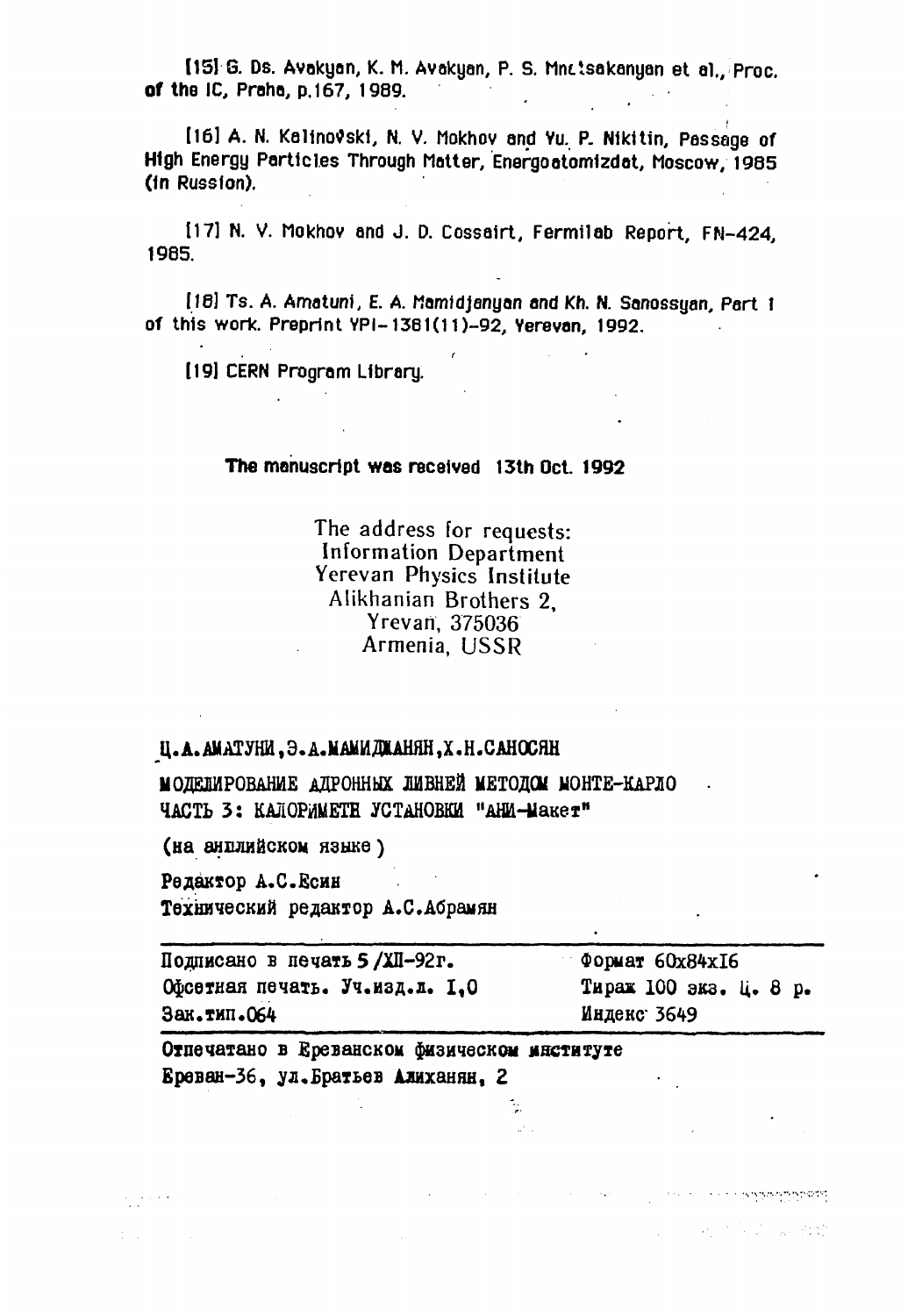**[15]** G. Ds. Avokyon, K. M. Avakyan, P. S. Mntisakanyan et ai./Proc. of **the** 1С, Praha, p. 167, 1989.  $\label{eq:2} \frac{1}{2} \int_{\mathbb{R}^3} \frac{1}{\sqrt{2}} \, \frac{1}{\sqrt{2}} \, \frac{1}{\sqrt{2}} \, \frac{1}{\sqrt{2}} \, \frac{1}{\sqrt{2}} \, \frac{1}{\sqrt{2}} \, \frac{1}{\sqrt{2}} \, \frac{1}{\sqrt{2}} \, \frac{1}{\sqrt{2}} \, \frac{1}{\sqrt{2}} \, \frac{1}{\sqrt{2}} \, \frac{1}{\sqrt{2}} \, \frac{1}{\sqrt{2}} \, \frac{1}{\sqrt{2}} \, \frac{1}{\sqrt{2}} \, \frac{1}{\sqrt{2}} \, \frac$ 

[16] A. N. Kalinovski, N. V. Mokhov and Yu. P. Nikitin, Passage of **High** Energy Particles Through Matter, Energoatomizdat, Moscow, 1985 (in Russion).

117] N. V. Mokhov and J. D. Cossairt, Fermilab Report, FN-424, 1985.

118] Ts. A. Amatunf, E. A. Mamidjanyan and Kh. N. Sanossyan, Part 1 of this work. Preprint YPI-1381(11)-92, Yerevan, 1992.

*f*

[19] CERN Program Library.

# **The** manuscript **was** received 13th Oct. **1992**

The address for requests: **Information Department** Yerevan Physics Institute Alikhanian Brothers 2, Yrevan, 375036 Armenia, USSR

# **\_Ц.А.АЛАТУШ,Э.А.ЫАкИДИАНЯН,Х.Н.САНХЯ**

МОДЕЛИРОВАНИЕ АДРОННЫХ ЛИВНЕЙ МЕТО**ДСМ** МОНТЕ-КАРЛО ЧАСТЬ 3: КАЛОРИМЕТН УСТАНОВКИ "АНИ-Макет"

(на анплийском языке)

 $\label{eq:2.1} \frac{1}{\sqrt{2}}\left(\frac{1}{\sqrt{2}}\left(\frac{1}{\sqrt{2}}\right)\left(\frac{1}{\sqrt{2}}\right)\left(\frac{1}{\sqrt{2}}\right)\right) \left(\frac{1}{\sqrt{2}}\right) \left(\frac{1}{\sqrt{2}}\right) \left(\frac{1}{\sqrt{2}}\right) \left(\frac{1}{\sqrt{2}}\right) \left(\frac{1}{\sqrt{2}}\right) \left(\frac{1}{\sqrt{2}}\right) \left(\frac{1}{\sqrt{2}}\right) \left(\frac{1}{\sqrt{2}}\right) \left(\frac{1}{\sqrt{2}}\right) \left(\frac{1}{\sqrt$ 

the community

Редактор А.С.Есин Технический редактор А.С.Абрамян

| Подписано в печать 5/XII-92г.   | $\sim$ Формат 60x84x16 |  |  |  |  |  |  |  |
|---------------------------------|------------------------|--|--|--|--|--|--|--|
| Офсетная печать. Уч.изд.л. I.O. | Тираж 100 экз. Ц. 8 р. |  |  |  |  |  |  |  |
| Зак. тип. 064                   | Индекс 3649            |  |  |  |  |  |  |  |

 $\mathcal{L}_{\mathcal{L}}$ 

**A CONTRACT A STRAIGHT OF STRAIGHT AND STRAIGHTS OF SALES AND STRAIGHTS OF STRAIGHTS OF STRAIGHTS OF STRAIGHTS** 

 $\mathcal{A}^{\mathcal{A}}$  , and the set of the set of the set of the  $\mathcal{A}^{\mathcal{A}}$ 

Отпечатано в Ереванском физическом институте Ереван-36, ул. Братьев Алиханян, 2